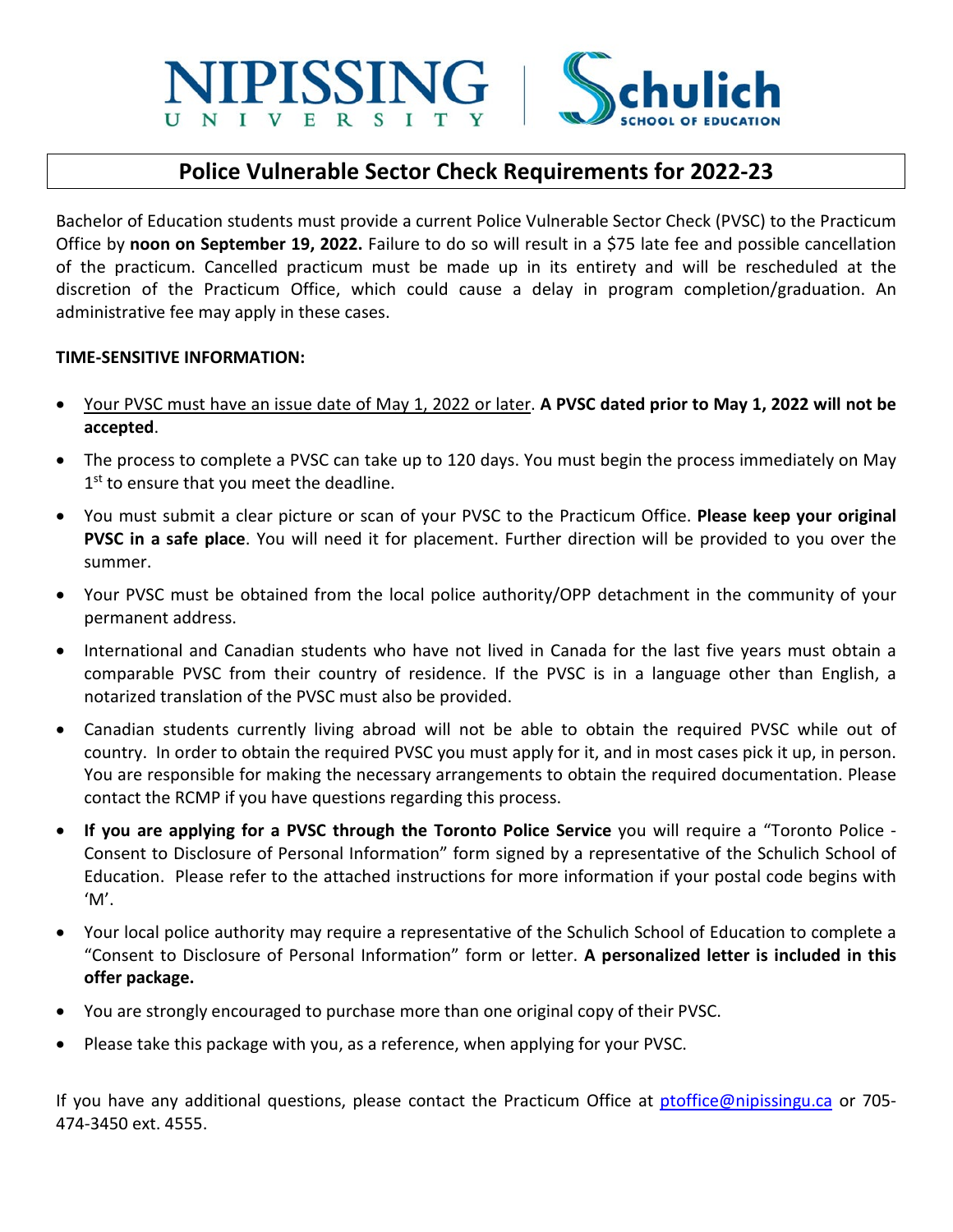# **SIPISSING**

# **Police Vulnerable Sector Check Requirements for 2022-23**

Bachelor of Education students must provide a current Police Vulnerable Sector Check (PVSC) to the Practicum Office by **noon on September 19, 2022.** Failure to do so will result in a \$75 late fee and possible cancellation of the practicum. Cancelled practicum must be made up in its entirety and will be rescheduled at the discretion of the Practicum Office, which could cause a delay in program completion/graduation. An administrative fee may apply in these cases.

### **TIME-SENSITIVE INFORMATION:**

- Your PVSC must have an issue date of May 1, 2022 or later. **A PVSC dated prior to May 1, 2022 will not be accepted**.
- The process to complete a PVSC can take up to 120 days. You must begin the process immediately on May 1<sup>st</sup> to ensure that you meet the deadline.
- You must submit a clear picture or scan of your PVSC to the Practicum Office. **Please keep your original PVSC in a safe place**. You will need it for placement. Further direction will be provided to you over the summer.
- Your PVSC must be obtained from the local police authority/OPP detachment in the community of your permanent address.
- International and Canadian students who have not lived in Canada for the last five years must obtain a comparable PVSC from their country of residence. If the PVSC is in a language other than English, a notarized translation of the PVSC must also be provided.
- Canadian students currently living abroad will not be able to obtain the required PVSC while out of country. In order to obtain the required PVSC you must apply for it, and in most cases pick it up, in person. You are responsible for making the necessary arrangements to obtain the required documentation. Please contact the RCMP if you have questions regarding this process.
- **If you are applying for a PVSC through the Toronto Police Service** you will require a "Toronto Police Consent to Disclosure of Personal Information" form signed by a representative of the Schulich School of Education. Please refer to the attached instructions for more information if your postal code begins with 'M'.
- Your local police authority may require a representative of the Schulich School of Education to complete a "Consent to Disclosure of Personal Information" form or letter. **A personalized letter is included in this offer package.**
- You are strongly encouraged to purchase more than one original copy of their PVSC.
- Please take this package with you, as a reference, when applying for your PVSC.

If you have any additional questions, please contact the Practicum Office at [ptoffice@nipissingu.ca](mailto:ptoffice@nipissingu.ca) or 705-474-3450 ext. 4555.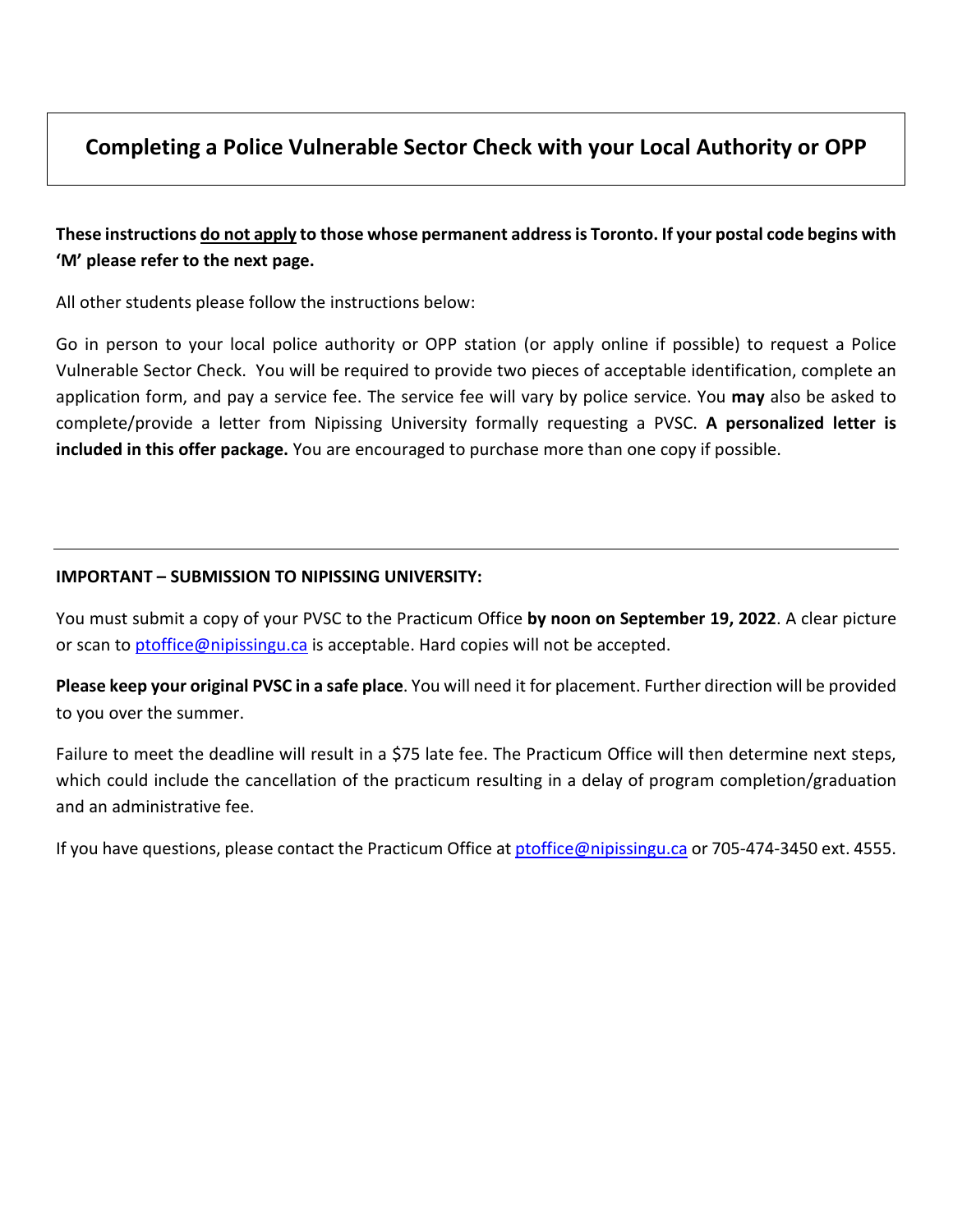# **Completing a Police Vulnerable Sector Check with your Local Authority or OPP**

## **These instructions do not apply to those whose permanent address is Toronto. If your postal code begins with 'M' please refer to the next page.**

All other students please follow the instructions below:

Go in person to your local police authority or OPP station (or apply online if possible) to request a Police Vulnerable Sector Check. You will be required to provide two pieces of acceptable identification, complete an application form, and pay a service fee. The service fee will vary by police service. You **may** also be asked to complete/provide a letter from Nipissing University formally requesting a PVSC. **A personalized letter is included in this offer package.** You are encouraged to purchase more than one copy if possible.

## **IMPORTANT – SUBMISSION TO NIPISSING UNIVERSITY:**

You must submit a copy of your PVSC to the Practicum Office **by noon on September 19, 2022**. A clear picture or scan to [ptoffice@nipissingu.ca](mailto:ptoffice@nipissingu.ca) is acceptable. Hard copies will not be accepted.

**Please keep your original PVSC in a safe place**. You will need it for placement. Further direction will be provided to you over the summer.

Failure to meet the deadline will result in a \$75 late fee. The Practicum Office will then determine next steps, which could include the cancellation of the practicum resulting in a delay of program completion/graduation and an administrative fee.

If you have questions, please contact the Practicum Office at [ptoffice@nipissingu.ca](mailto:ptoffice@nipissingu.ca) or 705-474-3450 ext. 4555.